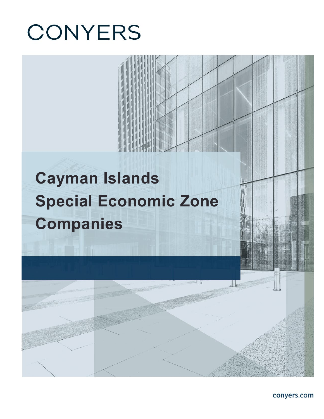# **CONYERS**

# **Cayman Islands Special Economic Zone Companies**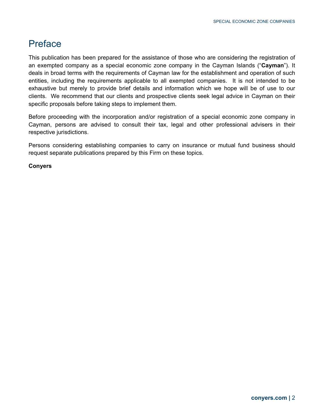## Preface

This publication has been prepared for the assistance of those who are considering the registration of an exempted company as a special economic zone company in the Cayman Islands ("**Cayman**"). It deals in broad terms with the requirements of Cayman law for the establishment and operation of such entities, including the requirements applicable to all exempted companies. It is not intended to be exhaustive but merely to provide brief details and information which we hope will be of use to our clients. We recommend that our clients and prospective clients seek legal advice in Cayman on their specific proposals before taking steps to implement them.

Before proceeding with the incorporation and/or registration of a special economic zone company in Cayman, persons are advised to consult their tax, legal and other professional advisers in their respective jurisdictions.

Persons considering establishing companies to carry on insurance or mutual fund business should request separate publications prepared by this Firm on these topics.

**Conyers**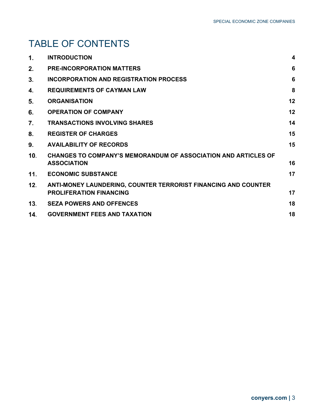## TABLE OF CONTENTS

| 1.  | <b>INTRODUCTION</b>                                                                              | $\boldsymbol{4}$ |
|-----|--------------------------------------------------------------------------------------------------|------------------|
| 2.  | <b>PRE-INCORPORATION MATTERS</b>                                                                 | 6                |
| 3.  | <b>INCORPORATION AND REGISTRATION PROCESS</b>                                                    | 6                |
| 4.  | <b>REQUIREMENTS OF CAYMAN LAW</b>                                                                | 8                |
| 5.  | <b>ORGANISATION</b>                                                                              | 12               |
| 6.  | <b>OPERATION OF COMPANY</b>                                                                      | 12               |
| 7.  | <b>TRANSACTIONS INVOLVING SHARES</b>                                                             | 14               |
| 8.  | <b>REGISTER OF CHARGES</b>                                                                       | 15               |
| 9.  | <b>AVAILABILITY OF RECORDS</b>                                                                   | 15               |
| 10. | <b>CHANGES TO COMPANY'S MEMORANDUM OF ASSOCIATION AND ARTICLES OF</b><br><b>ASSOCIATION</b>      | 16               |
| 11. | <b>ECONOMIC SUBSTANCE</b>                                                                        | 17               |
| 12. | ANTI-MONEY LAUNDERING, COUNTER TERRORIST FINANCING AND COUNTER<br><b>PROLIFERATION FINANCING</b> | 17               |
| 13. | <b>SEZA POWERS AND OFFENCES</b>                                                                  | 18               |
| 14. | <b>GOVERNMENT FEES AND TAXATION</b>                                                              | 18               |
|     |                                                                                                  |                  |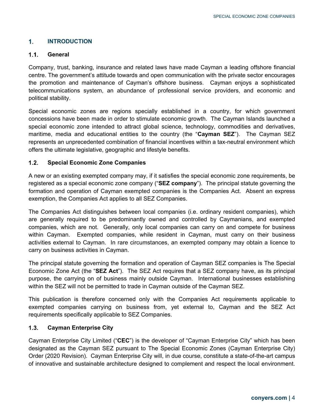### <span id="page-3-0"></span> $1<sub>1</sub>$ **INTRODUCTION**

### $1.1.$ **General**

Company, trust, banking, insurance and related laws have made Cayman a leading offshore financial centre. The government's attitude towards and open communication with the private sector encourages the promotion and maintenance of Cayman's offshore business. Cayman enjoys a sophisticated telecommunications system, an abundance of professional service providers, and economic and political stability.

Special economic zones are regions specially established in a country, for which government concessions have been made in order to stimulate economic growth. The Cayman Islands launched a special economic zone intended to attract global science, technology, commodities and derivatives, maritime, media and educational entities to the country (the "**Cayman SEZ**"). The Cayman SEZ represents an unprecedented combination of financial incentives within a tax-neutral environment which offers the ultimate legislative, geographic and lifestyle benefits.

### $1.2.$ **Special Economic Zone Companies**

A new or an existing exempted company may, if it satisfies the special economic zone requirements, be registered as a special economic zone company ("**SEZ company**"). The principal statute governing the formation and operation of Cayman exempted companies is the Companies Act. Absent an express exemption, the Companies Act applies to all SEZ Companies.

The Companies Act distinguishes between local companies (i.e. ordinary resident companies), which are generally required to be predominantly owned and controlled by Caymanians, and exempted companies, which are not. Generally, only local companies can carry on and compete for business within Cayman. Exempted companies, while resident in Cayman, must carry on their business activities external to Cayman. In rare circumstances, an exempted company may obtain a licence to carry on business activities in Cayman.

The principal statute governing the formation and operation of Cayman SEZ companies is The Special Economic Zone Act (the "**SEZ Act**"). The SEZ Act requires that a SEZ company have, as its principal purpose, the carrying on of business mainly outside Cayman. International businesses establishing within the SEZ will not be permitted to trade in Cayman outside of the Cayman SEZ.

This publication is therefore concerned only with the Companies Act requirements applicable to exempted companies carrying on business from, yet external to, Cayman and the SEZ Act requirements specifically applicable to SEZ Companies.

### $1.3.$ **Cayman Enterprise City**

Cayman Enterprise City Limited ("**CEC**") is the developer of "Cayman Enterprise City" which has been designated as the Cayman SEZ pursuant to The Special Economic Zones (Cayman Enterprise City) Order (2020 Revision). Cayman Enterprise City will, in due course, constitute a state-of-the-art campus of innovative and sustainable architecture designed to complement and respect the local environment.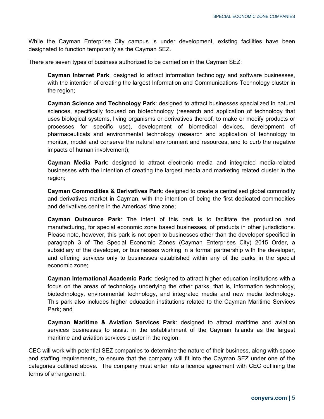While the Cayman Enterprise City campus is under development, existing facilities have been designated to function temporarily as the Cayman SEZ.

There are seven types of business authorized to be carried on in the Cayman SEZ:

**Cayman Internet Park**: designed to attract information technology and software businesses, with the intention of creating the largest Information and Communications Technology cluster in the region;

**Cayman Science and Technology Park**: designed to attract businesses specialized in natural sciences, specifically focused on biotechnology (research and application of technology that uses biological systems, living organisms or derivatives thereof, to make or modify products or processes for specific use), development of biomedical devices, development of pharmaceuticals and environmental technology (research and application of technology to monitor, model and conserve the natural environment and resources, and to curb the negative impacts of human involvement);

**Cayman Media Park**: designed to attract electronic media and integrated media-related businesses with the intention of creating the largest media and marketing related cluster in the region;

**Cayman Commodities & Derivatives Park**: designed to create a centralised global commodity and derivatives market in Cayman, with the intention of being the first dedicated commodities and derivatives centre in the Americas' time zone;

**Cayman Outsource Park**: The intent of this park is to facilitate the production and manufacturing, for special economic zone based businesses, of products in other jurisdictions. Please note, however, this park is not open to businesses other than the developer specified in paragraph 3 of The Special Economic Zones (Cayman Enterprises City) 2015 Order, a subsidiary of the developer, or businesses working in a formal partnership with the developer, and offering services only to businesses established within any of the parks in the special economic zone;

**Cayman International Academic Park**: designed to attract higher education institutions with a focus on the areas of technology underlying the other parks, that is, information technology, biotechnology, environmental technology, and integrated media and new media technology. This park also includes higher education institutions related to the Cayman Maritime Services Park; and

**Cayman Maritime & Aviation Services Park**: designed to attract maritime and aviation services businesses to assist in the establishment of the Cayman Islands as the largest maritime and aviation services cluster in the region.

CEC will work with potential SEZ companies to determine the nature of their business, along with space and staffing requirements, to ensure that the company will fit into the Cayman SEZ under one of the categories outlined above. The company must enter into a licence agreement with CEC outlining the terms of arrangement.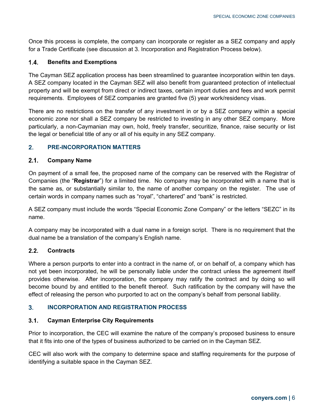Once this process is complete, the company can incorporate or register as a SEZ company and apply for a Trade Certificate (see discussion at 3. Incorporation and Registration Process below).

### $1.4.$ **Benefits and Exemptions**

The Cayman SEZ application process has been streamlined to guarantee incorporation within ten days. A SEZ company located in the Cayman SEZ will also benefit from guaranteed protection of intellectual property and will be exempt from direct or indirect taxes, certain import duties and fees and work permit requirements. Employees of SEZ companies are granted five (5) year work/residency visas.

There are no restrictions on the transfer of any investment in or by a SEZ company within a special economic zone nor shall a SEZ company be restricted to investing in any other SEZ company. More particularly, a non-Caymanian may own, hold, freely transfer, securitize, finance, raise security or list the legal or beneficial title of any or all of his equity in any SEZ company.

### <span id="page-5-0"></span> $2.$ **PRE-INCORPORATION MATTERS**

### $2.1.$ **Company Name**

On payment of a small fee, the proposed name of the company can be reserved with the Registrar of Companies (the "**Registrar**") for a limited time. No company may be incorporated with a name that is the same as, or substantially similar to, the name of another company on the register. The use of certain words in company names such as "royal", "chartered" and "bank" is restricted.

A SEZ company must include the words "Special Economic Zone Company" or the letters "SEZC" in its name.

A company may be incorporated with a dual name in a foreign script. There is no requirement that the dual name be a translation of the company's English name.

### $2.2.$ **Contracts**

Where a person purports to enter into a contract in the name of, or on behalf of, a company which has not yet been incorporated, he will be personally liable under the contract unless the agreement itself provides otherwise. After incorporation, the company may ratify the contract and by doing so will become bound by and entitled to the benefit thereof. Such ratification by the company will have the effect of releasing the person who purported to act on the company's behalf from personal liability.

### <span id="page-5-1"></span> $3<sub>1</sub>$ **INCORPORATION AND REGISTRATION PROCESS**

### $3.1.$ **Cayman Enterprise City Requirements**

Prior to incorporation, the CEC will examine the nature of the company's proposed business to ensure that it fits into one of the types of business authorized to be carried on in the Cayman SEZ.

CEC will also work with the company to determine space and staffing requirements for the purpose of identifying a suitable space in the Cayman SEZ.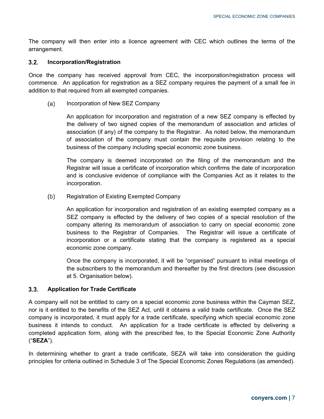The company will then enter into a licence agreement with CEC which outlines the terms of the arrangement.

### $3.2.$ **Incorporation/Registration**

Once the company has received approval from CEC, the incorporation/registration process will commence. An application for registration as a SEZ company requires the payment of a small fee in addition to that required from all exempted companies.

Incorporation of New SEZ Company (a)

> An application for incorporation and registration of a new SEZ company is effected by the delivery of two signed copies of the memorandum of association and articles of association (if any) of the company to the Registrar. As noted below, the memorandum of association of the company must contain the requisite provision relating to the business of the company including special economic zone business.

> The company is deemed incorporated on the filing of the memorandum and the Registrar will issue a certificate of incorporation which confirms the date of incorporation and is conclusive evidence of compliance with the Companies Act as it relates to the incorporation.

Registration of Existing Exempted Company  $(b)$ 

> An application for incorporation and registration of an existing exempted company as a SEZ company is effected by the delivery of two copies of a special resolution of the company altering its memorandum of association to carry on special economic zone business to the Registrar of Companies. The Registrar will issue a certificate of incorporation or a certificate stating that the company is registered as a special economic zone company.

> Once the company is incorporated, it will be "organised" pursuant to initial meetings of the subscribers to the memorandum and thereafter by the first directors (see discussion at 5. Organisation below).

### $3.3.$ **Application for Trade Certificate**

A company will not be entitled to carry on a special economic zone business within the Cayman SEZ, nor is it entitled to the benefits of the SEZ Act, until it obtains a valid trade certificate. Once the SEZ company is incorporated, it must apply for a trade certificate, specifying which special economic zone business it intends to conduct. An application for a trade certificate is effected by delivering a completed application form, along with the prescribed fee, to the Special Economic Zone Authority ("**SEZA**").

In determining whether to grant a trade certificate, SEZA will take into consideration the guiding principles for criteria outlined in Schedule 3 of The Special Economic Zones Regulations (as amended).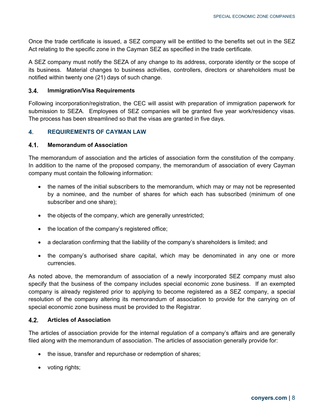Once the trade certificate is issued, a SEZ company will be entitled to the benefits set out in the SEZ Act relating to the specific zone in the Cayman SEZ as specified in the trade certificate.

A SEZ company must notify the SEZA of any change to its address, corporate identity or the scope of its business. Material changes to business activities, controllers, directors or shareholders must be notified within twenty one (21) days of such change.

### $3.4.$ **Immigration/Visa Requirements**

Following incorporation/registration, the CEC will assist with preparation of immigration paperwork for submission to SEZA. Employees of SEZ companies will be granted five year work/residency visas. The process has been streamlined so that the visas are granted in five days.

### <span id="page-7-0"></span> $4.$ **REQUIREMENTS OF CAYMAN LAW**

### $4.1.$ **Memorandum of Association**

The memorandum of association and the articles of association form the constitution of the company. In addition to the name of the proposed company, the memorandum of association of every Cayman company must contain the following information:

- the names of the initial subscribers to the memorandum, which may or may not be represented by a nominee, and the number of shares for which each has subscribed (minimum of one subscriber and one share);
- the objects of the company, which are generally unrestricted;
- the location of the company's registered office;
- a declaration confirming that the liability of the company's shareholders is limited; and
- the company's authorised share capital, which may be denominated in any one or more currencies.

As noted above, the memorandum of association of a newly incorporated SEZ company must also specify that the business of the company includes special economic zone business. If an exempted company is already registered prior to applying to become registered as a SEZ company, a special resolution of the company altering its memorandum of association to provide for the carrying on of special economic zone business must be provided to the Registrar.

### $4.2.$ **Articles of Association**

The articles of association provide for the internal regulation of a company's affairs and are generally filed along with the memorandum of association. The articles of association generally provide for:

- the issue, transfer and repurchase or redemption of shares;
- voting rights;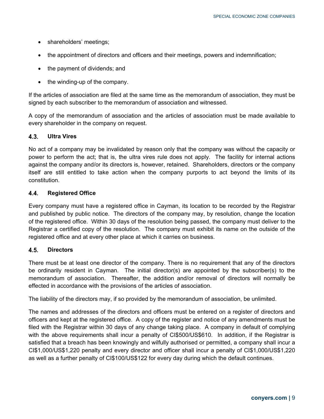- shareholders' meetings;
- the appointment of directors and officers and their meetings, powers and indemnification;
- the payment of dividends; and
- the winding-up of the company.

If the articles of association are filed at the same time as the memorandum of association, they must be signed by each subscriber to the memorandum of association and witnessed.

A copy of the memorandum of association and the articles of association must be made available to every shareholder in the company on request.

#### $4.3.$ **Ultra Vires**

No act of a company may be invalidated by reason only that the company was without the capacity or power to perform the act; that is, the ultra vires rule does not apply. The facility for internal actions against the company and/or its directors is, however, retained. Shareholders, directors or the company itself are still entitled to take action when the company purports to act beyond the limits of its constitution.

### $4.4.$ **Registered Office**

Every company must have a registered office in Cayman, its location to be recorded by the Registrar and published by public notice. The directors of the company may, by resolution, change the location of the registered office. Within 30 days of the resolution being passed, the company must deliver to the Registrar a certified copy of the resolution. The company must exhibit its name on the outside of the registered office and at every other place at which it carries on business.

### $4.5.$ **Directors**

There must be at least one director of the company. There is no requirement that any of the directors be ordinarily resident in Cayman. The initial director(s) are appointed by the subscriber(s) to the memorandum of association. Thereafter, the addition and/or removal of directors will normally be effected in accordance with the provisions of the articles of association.

The liability of the directors may, if so provided by the memorandum of association, be unlimited.

The names and addresses of the directors and officers must be entered on a register of directors and officers and kept at the registered office. A copy of the register and notice of any amendments must be filed with the Registrar within 30 days of any change taking place. A company in default of complying with the above requirements shall incur a penalty of CI\$500/US\$610. In addition, if the Registrar is satisfied that a breach has been knowingly and wilfully authorised or permitted, a company shall incur a CI\$1,000/US\$1,220 penalty and every director and officer shall incur a penalty of CI\$1,000/US\$1,220 as well as a further penalty of CI\$100/US\$122 for every day during which the default continues.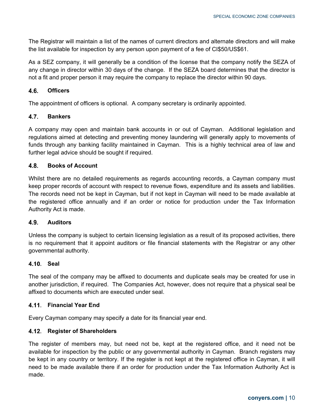The Registrar will maintain a list of the names of current directors and alternate directors and will make the list available for inspection by any person upon payment of a fee of CI\$50/US\$61.

As a SEZ company, it will generally be a condition of the license that the company notify the SEZA of any change in director within 30 days of the change. If the SEZA board determines that the director is not a fit and proper person it may require the company to replace the director within 90 days.

### $4.6.$ **Officers**

The appointment of officers is optional. A company secretary is ordinarily appointed.

### $4.7.$ **Bankers**

A company may open and maintain bank accounts in or out of Cayman. Additional legislation and regulations aimed at detecting and preventing money laundering will generally apply to movements of funds through any banking facility maintained in Cayman. This is a highly technical area of law and further legal advice should be sought if required.

### 4.8. **Books of Account**

Whilst there are no detailed requirements as regards accounting records, a Cayman company must keep proper records of account with respect to revenue flows, expenditure and its assets and liabilities. The records need not be kept in Cayman, but if not kept in Cayman will need to be made available at the registered office annually and if an order or notice for production under the Tax Information Authority Act is made.

### **Auditors**  $4.9$

Unless the company is subject to certain licensing legislation as a result of its proposed activities, there is no requirement that it appoint auditors or file financial statements with the Registrar or any other governmental authority.

### **4.10. Seal**

The seal of the company may be affixed to documents and duplicate seals may be created for use in another jurisdiction, if required. The Companies Act, however, does not require that a physical seal be affixed to documents which are executed under seal.

### **Financial Year End**

Every Cayman company may specify a date for its financial year end.

### **Register of Shareholders**

The register of members may, but need not be, kept at the registered office, and it need not be available for inspection by the public or any governmental authority in Cayman. Branch registers may be kept in any country or territory. If the register is not kept at the registered office in Cayman, it will need to be made available there if an order for production under the Tax Information Authority Act is made.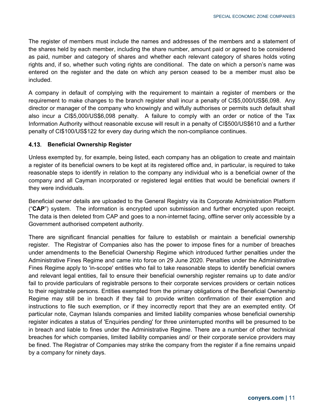The register of members must include the names and addresses of the members and a statement of the shares held by each member, including the share number, amount paid or agreed to be considered as paid, number and category of shares and whether each relevant category of shares holds voting rights and, if so, whether such voting rights are conditional. The date on which a person's name was entered on the register and the date on which any person ceased to be a member must also be included.

A company in default of complying with the requirement to maintain a register of members or the requirement to make changes to the branch register shall incur a penalty of CI\$5,000/US\$6,098. Any director or manager of the company who knowingly and wilfully authorises or permits such default shall also incur a CI\$5,000/US\$6,098 penalty. A failure to comply with an order or notice of the Tax Information Authority without reasonable excuse will result in a penalty of CI\$500/US\$610 and a further penalty of CI\$100/US\$122 for every day during which the non-compliance continues.

### **Beneficial Ownership Register**

Unless exempted by, for example, being listed, each company has an obligation to create and maintain a register of its beneficial owners to be kept at its registered office and, in particular, is required to take reasonable steps to identify in relation to the company any individual who is a beneficial owner of the company and all Cayman incorporated or registered legal entities that would be beneficial owners if they were individuals.

Beneficial owner details are uploaded to the General Registry via its Corporate Administration Platform ("**CAP**") system. The information is encrypted upon submission and further encrypted upon receipt. The data is then deleted from CAP and goes to a non-internet facing, offline server only accessible by a Government authorised competent authority.

There are significant financial penalties for failure to establish or maintain a beneficial ownership register. The Registrar of Companies also has the power to impose fines for a number of breaches under amendments to the Beneficial Ownership Regime which introduced further penalties under the Administrative Fines Regime and came into force on 29 June 2020. Penalties under the Administrative Fines Regime apply to 'in-scope' entities who fail to take reasonable steps to identify beneficial owners and relevant legal entities, fail to ensure their beneficial ownership register remains up to date and/or fail to provide particulars of registrable persons to their corporate services providers or certain notices to their registrable persons. Entities exempted from the primary obligations of the Beneficial Ownership Regime may still be in breach if they fail to provide written confirmation of their exemption and instructions to file such exemption, or if they incorrectly report that they are an exempted entity. Of particular note, Cayman Islands companies and limited liability companies whose beneficial ownership register indicates a status of 'Enquiries pending' for three uninterrupted months will be presumed to be in breach and liable to fines under the Administrative Regime. There are a number of other technical breaches for which companies, limited liability companies and/ or their corporate service providers may be fined. The Registrar of Companies may strike the company from the register if a fine remains unpaid by a company for ninety days.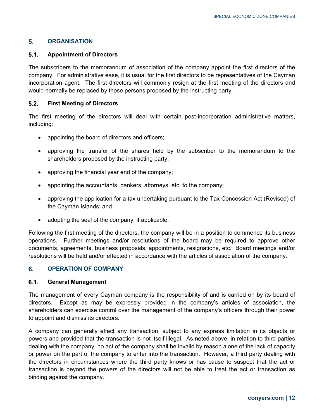### <span id="page-11-0"></span>5. **ORGANISATION**

### $5.1.$ **Appointment of Directors**

The subscribers to the memorandum of association of the company appoint the first directors of the company. For administrative ease, it is usual for the first directors to be representatives of the Cayman incorporation agent. The first directors will commonly resign at the first meeting of the directors and would normally be replaced by those persons proposed by the instructing party.

### $5.2.$ **First Meeting of Directors**

The first meeting of the directors will deal with certain post-incorporation administrative matters, including:

- appointing the board of directors and officers;
- approving the transfer of the shares held by the subscriber to the memorandum to the shareholders proposed by the instructing party;
- approving the financial year end of the company;
- appointing the accountants, bankers, attorneys, etc. to the company;
- approving the application for a tax undertaking pursuant to the Tax Concession Act (Revised) of the Cayman Islands; and
- adopting the seal of the company, if applicable.

Following the first meeting of the directors, the company will be in a position to commence its business operations. Further meetings and/or resolutions of the board may be required to approve other documents, agreements, business proposals, appointments, resignations, etc. Board meetings and/or resolutions will be held and/or effected in accordance with the articles of association of the company.

### <span id="page-11-1"></span>6. **OPERATION OF COMPANY**

### $6.1.$ **General Management**

The management of every Cayman company is the responsibility of and is carried on by its board of directors. Except as may be expressly provided in the company's articles of association, the shareholders can exercise control over the management of the company's officers through their power to appoint and dismiss its directors.

A company can generally effect any transaction, subject to any express limitation in its objects or powers and provided that the transaction is not itself illegal. As noted above, in relation to third parties dealing with the company, no act of the company shall be invalid by reason alone of the lack of capacity or power on the part of the company to enter into the transaction. However, a third party dealing with the directors in circumstances where the third party knows or has cause to suspect that the act or transaction is beyond the powers of the directors will not be able to treat the act or transaction as binding against the company.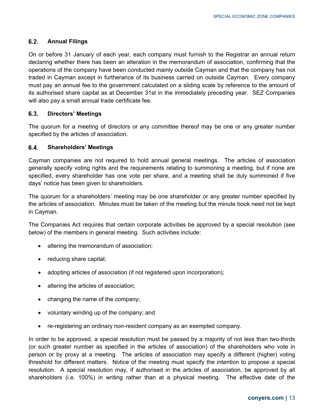### $6.2.$ **Annual Filings**

On or before 31 January of each year, each company must furnish to the Registrar an annual return declaring whether there has been an alteration in the memorandum of association, confirming that the operations of the company have been conducted mainly outside Cayman and that the company has not traded in Cayman except in furtherance of its business carried on outside Cayman. Every company must pay an annual fee to the government calculated on a sliding scale by reference to the amount of its authorised share capital as at December 31st in the immediately preceding year. SEZ Companies will also pay a small annual trade certificate fee.

### $6.3.$ **Directors' Meetings**

The quorum for a meeting of directors or any committee thereof may be one or any greater number specified by the articles of association.

### $6.4.$ **Shareholders' Meetings**

Cayman companies are not required to hold annual general meetings. The articles of association generally specify voting rights and the requirements relating to summoning a meeting, but if none are specified, every shareholder has one vote per share, and a meeting shall be duly summoned if five days' notice has been given to shareholders.

The quorum for a shareholders' meeting may be one shareholder or any greater number specified by the articles of association. Minutes must be taken of the meeting but the minute book need not be kept in Cayman.

The Companies Act requires that certain corporate activities be approved by a special resolution (see below) of the members in general meeting. Such activities include:

- altering the memorandum of association;
- reducing share capital;
- adopting articles of association (if not registered upon incorporation);
- altering the articles of association;
- changing the name of the company;
- voluntary winding up of the company; and
- re-registering an ordinary non-resident company as an exempted company.

In order to be approved, a special resolution must be passed by a majority of not less than two-thirds (or such greater number as specified in the articles of association) of the shareholders who vote in person or by proxy at a meeting. The articles of association may specify a different (higher) voting threshold for different matters. Notice of the meeting must specify the intention to propose a special resolution. A special resolution may, if authorised in the articles of association, be approved by all shareholders (i.e. 100%) in writing rather than at a physical meeting. The effective date of the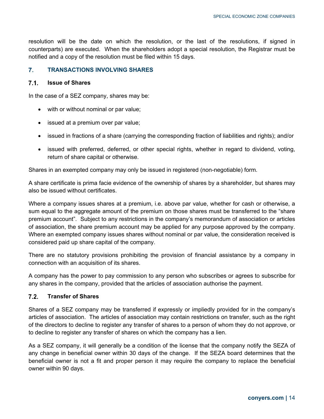resolution will be the date on which the resolution, or the last of the resolutions, if signed in counterparts) are executed. When the shareholders adopt a special resolution, the Registrar must be notified and a copy of the resolution must be filed within 15 days.

### <span id="page-13-0"></span> $\overline{7}$ . **TRANSACTIONS INVOLVING SHARES**

#### $7.1.$ **Issue of Shares**

In the case of a SEZ company, shares may be:

- with or without nominal or par value;
- issued at a premium over par value;
- issued in fractions of a share (carrying the corresponding fraction of liabilities and rights); and/or
- issued with preferred, deferred, or other special rights, whether in regard to dividend, voting, return of share capital or otherwise.

Shares in an exempted company may only be issued in registered (non-negotiable) form.

A share certificate is prima facie evidence of the ownership of shares by a shareholder, but shares may also be issued without certificates.

Where a company issues shares at a premium, i.e. above par value, whether for cash or otherwise, a sum equal to the aggregate amount of the premium on those shares must be transferred to the "share premium account". Subject to any restrictions in the company's memorandum of association or articles of association, the share premium account may be applied for any purpose approved by the company. Where an exempted company issues shares without nominal or par value, the consideration received is considered paid up share capital of the company.

There are no statutory provisions prohibiting the provision of financial assistance by a company in connection with an acquisition of its shares.

A company has the power to pay commission to any person who subscribes or agrees to subscribe for any shares in the company, provided that the articles of association authorise the payment.

### $7.2.$ **Transfer of Shares**

Shares of a SEZ company may be transferred if expressly or impliedly provided for in the company's articles of association. The articles of association may contain restrictions on transfer, such as the right of the directors to decline to register any transfer of shares to a person of whom they do not approve, or to decline to register any transfer of shares on which the company has a lien.

As a SEZ company, it will generally be a condition of the license that the company notify the SEZA of any change in beneficial owner within 30 days of the change. If the SEZA board determines that the beneficial owner is not a fit and proper person it may require the company to replace the beneficial owner within 90 days.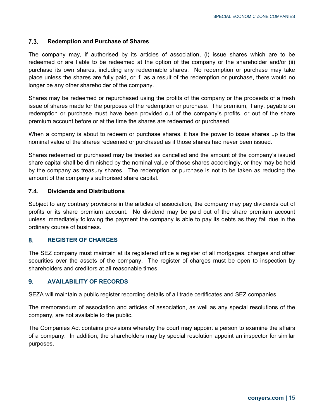### $7.3.$ **Redemption and Purchase of Shares**

The company may, if authorised by its articles of association, (i) issue shares which are to be redeemed or are liable to be redeemed at the option of the company or the shareholder and/or (ii) purchase its own shares, including any redeemable shares. No redemption or purchase may take place unless the shares are fully paid, or if, as a result of the redemption or purchase, there would no longer be any other shareholder of the company.

Shares may be redeemed or repurchased using the profits of the company or the proceeds of a fresh issue of shares made for the purposes of the redemption or purchase. The premium, if any, payable on redemption or purchase must have been provided out of the company's profits, or out of the share premium account before or at the time the shares are redeemed or purchased.

When a company is about to redeem or purchase shares, it has the power to issue shares up to the nominal value of the shares redeemed or purchased as if those shares had never been issued.

Shares redeemed or purchased may be treated as cancelled and the amount of the company's issued share capital shall be diminished by the nominal value of those shares accordingly, or they may be held by the company as treasury shares. The redemption or purchase is not to be taken as reducing the amount of the company's authorised share capital.

### $7.4.$ **Dividends and Distributions**

Subject to any contrary provisions in the articles of association, the company may pay dividends out of profits or its share premium account. No dividend may be paid out of the share premium account unless immediately following the payment the company is able to pay its debts as they fall due in the ordinary course of business.

### <span id="page-14-0"></span> $\mathbf{8}$ **REGISTER OF CHARGES**

The SEZ company must maintain at its registered office a register of all mortgages, charges and other securities over the assets of the company. The register of charges must be open to inspection by shareholders and creditors at all reasonable times.

### <span id="page-14-1"></span> $9<sub>1</sub>$ **AVAILABILITY OF RECORDS**

SEZA will maintain a public register recording details of all trade certificates and SEZ companies.

The memorandum of association and articles of association, as well as any special resolutions of the company, are not available to the public.

The Companies Act contains provisions whereby the court may appoint a person to examine the affairs of a company. In addition, the shareholders may by special resolution appoint an inspector for similar purposes.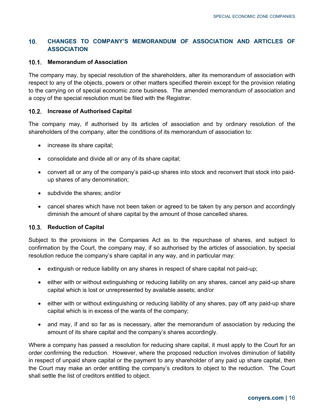### <span id="page-15-0"></span> $10.$ **CHANGES TO COMPANY'S MEMORANDUM OF ASSOCIATION AND ARTICLES OF ASSOCIATION**

### **Memorandum of Association**

The company may, by special resolution of the shareholders, alter its memorandum of association with respect to any of the objects, powers or other matters specified therein except for the provision relating to the carrying on of special economic zone business. The amended memorandum of association and a copy of the special resolution must be filed with the Registrar.

### **Increase of Authorised Capital**

The company may, if authorised by its articles of association and by ordinary resolution of the shareholders of the company, alter the conditions of its memorandum of association to:

- increase its share capital;
- consolidate and divide all or any of its share capital;
- convert all or any of the company's paid-up shares into stock and reconvert that stock into paidup shares of any denomination;
- subdivide the shares; and/or
- cancel shares which have not been taken or agreed to be taken by any person and accordingly diminish the amount of share capital by the amount of those cancelled shares.

### **10.3. Reduction of Capital**

Subject to the provisions in the Companies Act as to the repurchase of shares, and subject to confirmation by the Court, the company may, if so authorised by the articles of association, by special resolution reduce the company's share capital in any way, and in particular may:

- extinguish or reduce liability on any shares in respect of share capital not paid-up;
- either with or without extinguishing or reducing liability on any shares, cancel any paid-up share capital which is lost or unrepresented by available assets; and/or
- either with or without extinguishing or reducing liability of any shares, pay off any paid-up share capital which is in excess of the wants of the company;
- and may, if and so far as is necessary, alter the memorandum of association by reducing the amount of its share capital and the company's shares accordingly.

Where a company has passed a resolution for reducing share capital, it must apply to the Court for an order confirming the reduction. However, where the proposed reduction involves diminution of liability in respect of unpaid share capital or the payment to any shareholder of any paid up share capital, then the Court may make an order entitling the company's creditors to object to the reduction. The Court shall settle the list of creditors entitled to object.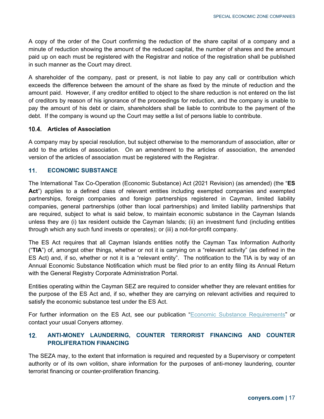A copy of the order of the Court confirming the reduction of the share capital of a company and a minute of reduction showing the amount of the reduced capital, the number of shares and the amount paid up on each must be registered with the Registrar and notice of the registration shall be published in such manner as the Court may direct.

A shareholder of the company, past or present, is not liable to pay any call or contribution which exceeds the difference between the amount of the share as fixed by the minute of reduction and the amount paid. However, if any creditor entitled to object to the share reduction is not entered on the list of creditors by reason of his ignorance of the proceedings for reduction, and the company is unable to pay the amount of his debt or claim, shareholders shall be liable to contribute to the payment of the debt. If the company is wound up the Court may settle a list of persons liable to contribute.

### **Articles of Association**

A company may by special resolution, but subject otherwise to the memorandum of association, alter or add to the articles of association. On an amendment to the articles of association, the amended version of the articles of association must be registered with the Registrar.

### <span id="page-16-0"></span> $11.$ **ECONOMIC SUBSTANCE**

The International Tax Co-Operation (Economic Substance) Act (2021 Revision) (as amended) (the "**ES Act**") applies to a defined class of relevant entities including exempted companies and exempted partnerships, foreign companies and foreign partnerships registered in Cayman, limited liability companies, general partnerships (other than local partnerships) and limited liability partnerships that are required, subject to what is said below, to maintain economic substance in the Cayman Islands unless they are (i) tax resident outside the Cayman Islands; (ii) an investment fund (including entities through which any such fund invests or operates); or (iii) a not-for-profit company.

The ES Act requires that all Cayman Islands entities notify the Cayman Tax Information Authority ("**TIA**") of, amongst other things, whether or not it is carrying on a "relevant activity" (as defined in the ES Act) and, if so, whether or not it is a "relevant entity". The notification to the TIA is by way of an Annual Economic Substance Notification which must be filed prior to an entity filing its Annual Return with the General Registry Corporate Administration Portal.

Entities operating within the Cayman SEZ are required to consider whether they are relevant entities for the purpose of the ES Act and, if so, whether they are carrying on relevant activities and required to satisfy the economic substance test under the ES Act.

For further information on the ES Act, see our publication ["Economic Substance Requirements"](https://conyers-cdn.scdn5.secure.raxcdn.com/wp-content/uploads/2019/06/Economic_Substance_Requirements-CAY.pdf) or contact your usual Conyers attorney.

### <span id="page-16-1"></span>**ANTI-MONEY LAUNDERING, COUNTER TERRORIST FINANCING AND COUNTER**   $12.$ **PROLIFERATION FINANCING**

The SEZA may, to the extent that information is required and requested by a Supervisory or competent authority or of its own volition, share information for the purposes of anti-money laundering, counter terrorist financing or counter-proliferation financing.